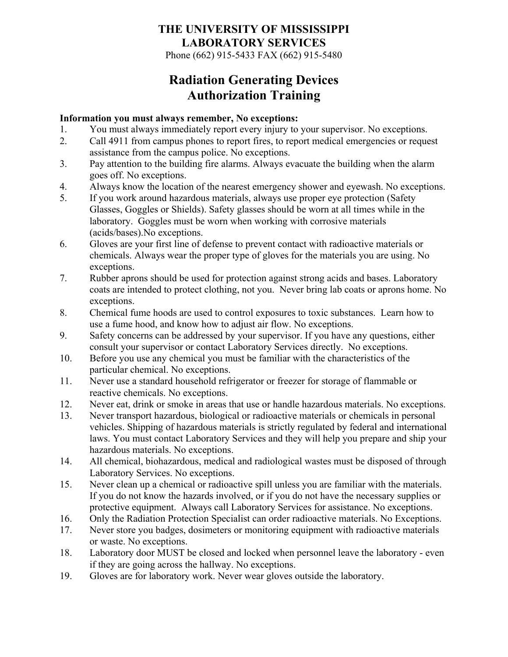Phone (662) 915-5433 FAX (662) 915-5480

## **Radiation Generating Devices Authorization Training**

#### **Information you must always remember, No exceptions:**

- 1. You must always immediately report every injury to your supervisor. No exceptions.
- 2. Call 4911 from campus phones to report fires, to report medical emergencies or request assistance from the campus police. No exceptions.
- 3. Pay attention to the building fire alarms. Always evacuate the building when the alarm goes off. No exceptions.
- 4. Always know the location of the nearest emergency shower and eyewash. No exceptions.
- 5. If you work around hazardous materials, always use proper eye protection (Safety Glasses, Goggles or Shields). Safety glasses should be worn at all times while in the laboratory. Goggles must be worn when working with corrosive materials (acids/bases).No exceptions.
- 6. Gloves are your first line of defense to prevent contact with radioactive materials or chemicals. Always wear the proper type of gloves for the materials you are using. No exceptions.
- 7. Rubber aprons should be used for protection against strong acids and bases. Laboratory coats are intended to protect clothing, not you. Never bring lab coats or aprons home. No exceptions.
- 8. Chemical fume hoods are used to control exposures to toxic substances. Learn how to use a fume hood, and know how to adjust air flow. No exceptions.
- 9. Safety concerns can be addressed by your supervisor. If you have any questions, either consult your supervisor or contact Laboratory Services directly. No exceptions.
- 10. Before you use any chemical you must be familiar with the characteristics of the particular chemical. No exceptions.
- 11. Never use a standard household refrigerator or freezer for storage of flammable or reactive chemicals. No exceptions.
- 12. Never eat, drink or smoke in areas that use or handle hazardous materials. No exceptions.
- 13. Never transport hazardous, biological or radioactive materials or chemicals in personal vehicles. Shipping of hazardous materials is strictly regulated by federal and international laws. You must contact Laboratory Services and they will help you prepare and ship your hazardous materials. No exceptions.
- 14. All chemical, biohazardous, medical and radiological wastes must be disposed of through Laboratory Services. No exceptions.
- 15. Never clean up a chemical or radioactive spill unless you are familiar with the materials. If you do not know the hazards involved, or if you do not have the necessary supplies or protective equipment. Always call Laboratory Services for assistance. No exceptions.
- 16. Only the Radiation Protection Specialist can order radioactive materials. No Exceptions.
- 17. Never store you badges, dosimeters or monitoring equipment with radioactive materials or waste. No exceptions.
- 18. Laboratory door MUST be closed and locked when personnel leave the laboratory even if they are going across the hallway. No exceptions.
- 19. Gloves are for laboratory work. Never wear gloves outside the laboratory.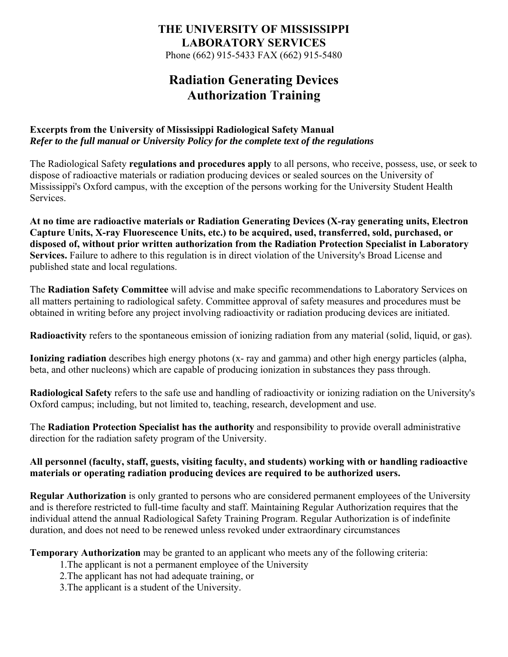Phone (662) 915-5433 FAX (662) 915-5480

## **Radiation Generating Devices Authorization Training**

### **Excerpts from the University of Mississippi Radiological Safety Manual**  *Refer to the full manual or University Policy for the complete text of the regulations*

The Radiological Safety **regulations and procedures apply** to all persons, who receive, possess, use, or seek to dispose of radioactive materials or radiation producing devices or sealed sources on the University of Mississippi's Oxford campus, with the exception of the persons working for the University Student Health Services.

**At no time are radioactive materials or Radiation Generating Devices (X-ray generating units, Electron Capture Units, X-ray Fluorescence Units, etc.) to be acquired, used, transferred, sold, purchased, or disposed of, without prior written authorization from the Radiation Protection Specialist in Laboratory Services.** Failure to adhere to this regulation is in direct violation of the University's Broad License and published state and local regulations.

The **Radiation Safety Committee** will advise and make specific recommendations to Laboratory Services on all matters pertaining to radiological safety. Committee approval of safety measures and procedures must be obtained in writing before any project involving radioactivity or radiation producing devices are initiated.

**Radioactivity** refers to the spontaneous emission of ionizing radiation from any material (solid, liquid, or gas).

**Ionizing radiation** describes high energy photons (x- ray and gamma) and other high energy particles (alpha, beta, and other nucleons) which are capable of producing ionization in substances they pass through.

**Radiological Safety** refers to the safe use and handling of radioactivity or ionizing radiation on the University's Oxford campus; including, but not limited to, teaching, research, development and use.

The **Radiation Protection Specialist has the authority** and responsibility to provide overall administrative direction for the radiation safety program of the University.

### **All personnel (faculty, staff, guests, visiting faculty, and students) working with or handling radioactive materials or operating radiation producing devices are required to be authorized users.**

**Regular Authorization** is only granted to persons who are considered permanent employees of the University and is therefore restricted to full-time faculty and staff. Maintaining Regular Authorization requires that the individual attend the annual Radiological Safety Training Program. Regular Authorization is of indefinite duration, and does not need to be renewed unless revoked under extraordinary circumstances

**Temporary Authorization** may be granted to an applicant who meets any of the following criteria:

- 1.The applicant is not a permanent employee of the University
- 2.The applicant has not had adequate training, or
- 3.The applicant is a student of the University.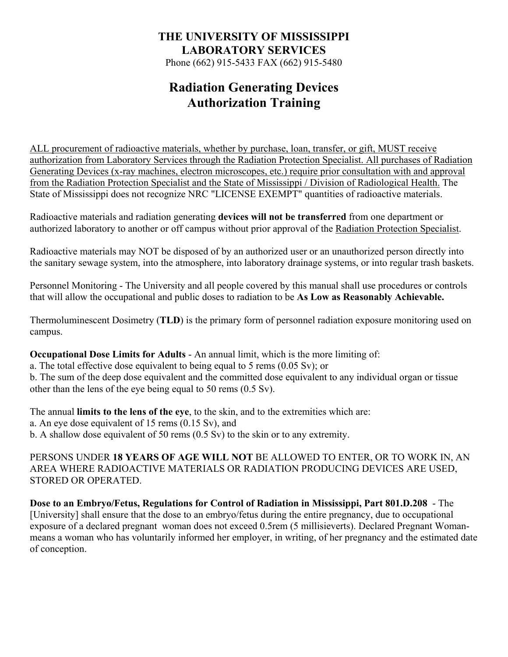Phone (662) 915-5433 FAX (662) 915-5480

## **Radiation Generating Devices Authorization Training**

ALL procurement of radioactive materials, whether by purchase, loan, transfer, or gift, MUST receive authorization from Laboratory Services through the Radiation Protection Specialist. All purchases of Radiation Generating Devices (x-ray machines, electron microscopes, etc.) require prior consultation with and approval from the Radiation Protection Specialist and the State of Mississippi / Division of Radiological Health. The State of Mississippi does not recognize NRC "LICENSE EXEMPT" quantities of radioactive materials.

Radioactive materials and radiation generating **devices will not be transferred** from one department or authorized laboratory to another or off campus without prior approval of the Radiation Protection Specialist.

Radioactive materials may NOT be disposed of by an authorized user or an unauthorized person directly into the sanitary sewage system, into the atmosphere, into laboratory drainage systems, or into regular trash baskets.

Personnel Monitoring - The University and all people covered by this manual shall use procedures or controls that will allow the occupational and public doses to radiation to be **As Low as Reasonably Achievable.**

Thermoluminescent Dosimetry (**TLD**) is the primary form of personnel radiation exposure monitoring used on campus.

**Occupational Dose Limits for Adults** - An annual limit, which is the more limiting of:

a. The total effective dose equivalent to being equal to 5 rems (0.05 Sv); or b. The sum of the deep dose equivalent and the committed dose equivalent to any individual organ or tissue other than the lens of the eye being equal to 50 rems (0.5 Sv).

The annual **limits to the lens of the eye**, to the skin, and to the extremities which are: a. An eye dose equivalent of 15 rems (0.15 Sv), and b. A shallow dose equivalent of 50 rems (0.5 Sv) to the skin or to any extremity.

PERSONS UNDER **18 YEARS OF AGE WILL NOT** BE ALLOWED TO ENTER, OR TO WORK IN, AN AREA WHERE RADIOACTIVE MATERIALS OR RADIATION PRODUCING DEVICES ARE USED, STORED OR OPERATED.

**Dose to an Embryo/Fetus, Regulations for Control of Radiation in Mississippi, Part 801.D.208** - The [University] shall ensure that the dose to an embryo/fetus during the entire pregnancy, due to occupational exposure of a declared pregnant woman does not exceed 0.5rem (5 millisieverts). Declared Pregnant Womanmeans a woman who has voluntarily informed her employer, in writing, of her pregnancy and the estimated date of conception.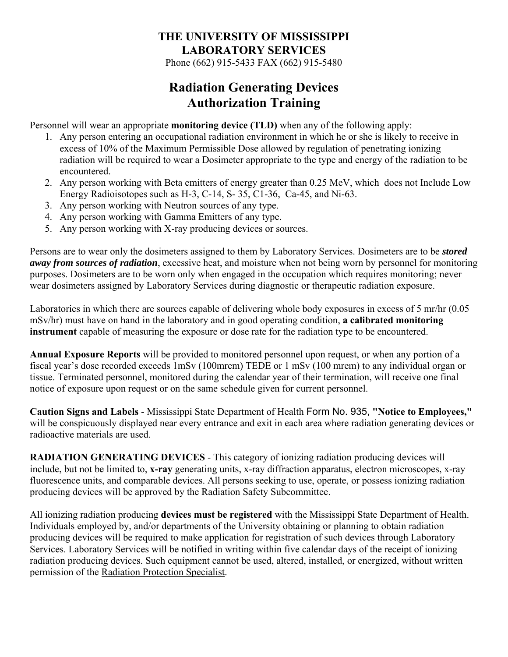Phone (662) 915-5433 FAX (662) 915-5480

## **Radiation Generating Devices Authorization Training**

Personnel will wear an appropriate **monitoring device (TLD)** when any of the following apply:

- 1. Any person entering an occupational radiation environment in which he or she is likely to receive in excess of 10% of the Maximum Permissible Dose allowed by regulation of penetrating ionizing radiation will be required to wear a Dosimeter appropriate to the type and energy of the radiation to be encountered.
- 2. Any person working with Beta emitters of energy greater than 0.25 MeV, which does not Include Low Energy Radioisotopes such as H-3, C-14, S- 35, C1-36, Ca-45, and Ni-63.
- 3. Any person working with Neutron sources of any type.
- 4. Any person working with Gamma Emitters of any type.
- 5. Any person working with X-ray producing devices or sources.

Persons are to wear only the dosimeters assigned to them by Laboratory Services. Dosimeters are to be *stored away from sources of radiation*, excessive heat, and moisture when not being worn by personnel for monitoring purposes. Dosimeters are to be worn only when engaged in the occupation which requires monitoring; never wear dosimeters assigned by Laboratory Services during diagnostic or therapeutic radiation exposure.

Laboratories in which there are sources capable of delivering whole body exposures in excess of 5 mr/hr (0.05 mSv/hr) must have on hand in the laboratory and in good operating condition, **a calibrated monitoring instrument** capable of measuring the exposure or dose rate for the radiation type to be encountered.

**Annual Exposure Reports** will be provided to monitored personnel upon request, or when any portion of a fiscal year's dose recorded exceeds 1mSv (100mrem) TEDE or 1 mSv (100 mrem) to any individual organ or tissue. Terminated personnel, monitored during the calendar year of their termination, will receive one final notice of exposure upon request or on the same schedule given for current personnel.

**Caution Signs and Labels** - Mississippi State Department of Health Form No. 935, **"Notice to Employees,"** will be conspicuously displayed near every entrance and exit in each area where radiation generating devices or radioactive materials are used.

**RADIATION GENERATING DEVICES** - This category of ionizing radiation producing devices will include, but not be limited to, **x-ray** generating units, x-ray diffraction apparatus, electron microscopes, x-ray fluorescence units, and comparable devices. All persons seeking to use, operate, or possess ionizing radiation producing devices will be approved by the Radiation Safety Subcommittee.

All ionizing radiation producing **devices must be registered** with the Mississippi State Department of Health. Individuals employed by, and/or departments of the University obtaining or planning to obtain radiation producing devices will be required to make application for registration of such devices through Laboratory Services. Laboratory Services will be notified in writing within five calendar days of the receipt of ionizing radiation producing devices. Such equipment cannot be used, altered, installed, or energized, without written permission of the Radiation Protection Specialist.